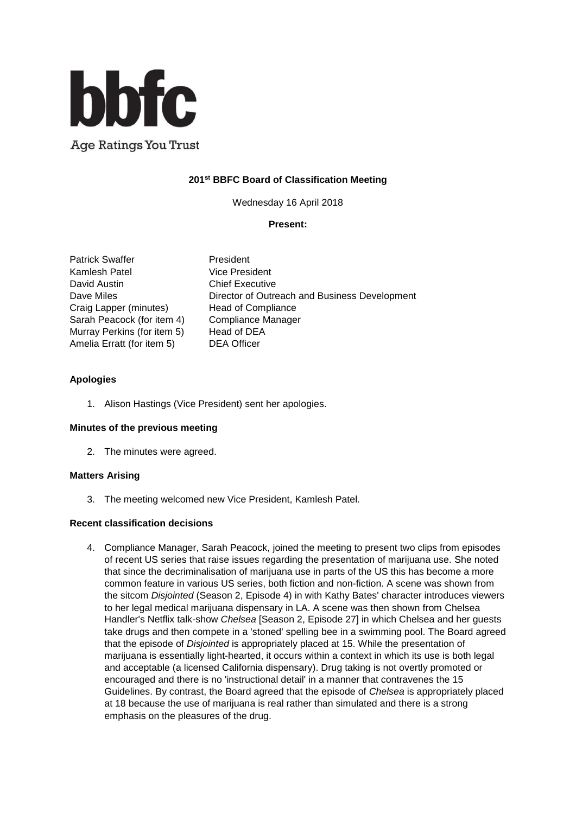

**Age Ratings You Trust** 

# **201st BBFC Board of Classification Meeting**

Wednesday 16 April 2018

#### **Present:**

Patrick Swaffer President Kamlesh Patel Vice President David Austin Chief Executive Craig Lapper (minutes) Head of Compliance Sarah Peacock (for item 4) Compliance Manager Murray Perkins (for item 5) Head of DEA Amelia Erratt (for item 5) DEA Officer

Dave Miles **Director of Outreach and Business Development** 

## **Apologies**

1. Alison Hastings (Vice President) sent her apologies.

## **Minutes of the previous meeting**

2. The minutes were agreed.

#### **Matters Arising**

3. The meeting welcomed new Vice President, Kamlesh Patel.

## **Recent classification decisions**

4. Compliance Manager, Sarah Peacock, joined the meeting to present two clips from episodes of recent US series that raise issues regarding the presentation of marijuana use. She noted that since the decriminalisation of marijuana use in parts of the US this has become a more common feature in various US series, both fiction and non-fiction. A scene was shown from the sitcom *Disjointed* (Season 2, Episode 4) in with Kathy Bates' character introduces viewers to her legal medical marijuana dispensary in LA. A scene was then shown from Chelsea Handler's Netflix talk-show *Chelsea* [Season 2, Episode 27] in which Chelsea and her guests take drugs and then compete in a 'stoned' spelling bee in a swimming pool. The Board agreed that the episode of *Disjointed* is appropriately placed at 15. While the presentation of marijuana is essentially light-hearted, it occurs within a context in which its use is both legal and acceptable (a licensed California dispensary). Drug taking is not overtly promoted or encouraged and there is no 'instructional detail' in a manner that contravenes the 15 Guidelines. By contrast, the Board agreed that the episode of *Chelsea* is appropriately placed at 18 because the use of marijuana is real rather than simulated and there is a strong emphasis on the pleasures of the drug.